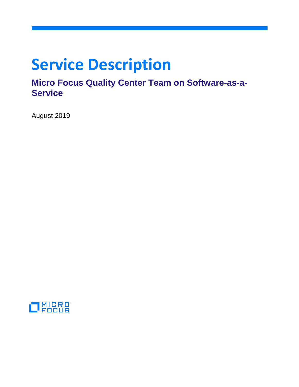# **Service Description**

# **Micro Focus Quality Center Team on Software-as-a-Service**

August 2019

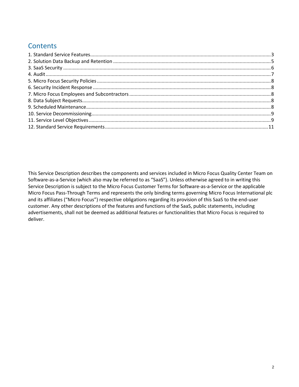# **Contents**

This Service Description describes the components and services included in Micro Focus Quality Center Team on Software-as-a-Service (which also may be referred to as "SaaS"). Unless otherwise agreed to in writing this Service Description is subject to the Micro Focus Customer Terms for Software-as-a-Service or the applicable Micro Focus Pass-Through Terms and represents the only binding terms governing Micro Focus International plc and its affiliates ("Micro Focus") respective obligations regarding its provision of this SaaS to the end-user customer. Any other descriptions of the features and functions of the SaaS, public statements, including advertisements, shall not be deemed as additional features or functionalities that Micro Focus is required to deliver.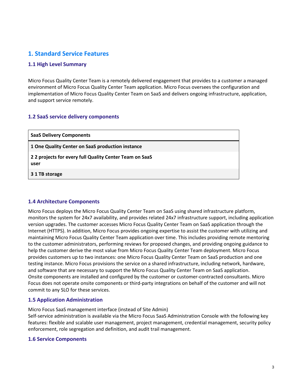# <span id="page-2-0"></span>**1. Standard Service Features**

## **1.1 High Level Summary**

Micro Focus Quality Center Team is a remotely delivered engagement that provides to a customer a managed environment of Micro Focus Quality Center Team application. Micro Focus oversees the configuration and implementation of Micro Focus Quality Center Team on SaaS and delivers ongoing infrastructure, application, and support service remotely.

# **1.2 SaaS service delivery components**

| <b>SaaS Delivery Components</b>                                 |
|-----------------------------------------------------------------|
| 1 One Quality Center on SaaS production instance                |
| 2 2 projects for every full Quality Center Team on SaaS<br>user |
| 3 1 TB storage                                                  |

#### **1.4 Architecture Components**

Micro Focus deploys the Micro Focus Quality Center Team on SaaS using shared infrastructure platform, monitors the system for 24x7 availability, and provides related 24x7 infrastructure support, including application version upgrades. The customer accesses Micro Focus Quality Center Team on SaaS application through the Internet (HTTPS). In addition, Micro Focus provides ongoing expertise to assist the customer with utilizing and maintaining Micro Focus Quality Center Team application over time. This includes providing remote mentoring to the customer administrators, performing reviews for proposed changes, and providing ongoing guidance to help the customer derive the most value from Micro Focus Quality Center Team deployment. Micro Focus provides customers up to two instances: one Micro Focus Quality Center Team on SaaS production and one testing instance. Micro Focus provisions the service on a shared infrastructure, including network, hardware, and software that are necessary to support the Micro Focus Quality Center Team on SaaS application. Onsite components are installed and configured by the customer or customer-contracted consultants. Micro Focus does not operate onsite components or third-party integrations on behalf of the customer and will not commit to any SLO for these services.

# **1.5 Application Administration**

Micro Focus SaaS management interface (instead of Site Admin)

Self-service administration is available via the Micro Focus SaaS Administration Console with the following key features: flexible and scalable user management, project management, credential management, security policy enforcement, role segregation and definition, and audit trail management.

#### **1.6 Service Components**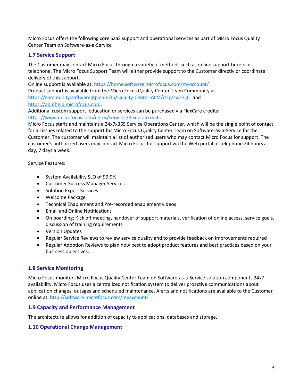Micro Focus offers the following core SaaS support and operational services as part of Micro Focus Quality Center Team on Software-as-a-Service

# **1.7 Service Support**

The Customer may contact Micro Focus through a variety of methods such as online support tickets or telephone. The Micro Focus Support Team will either provide support to the Customer directly or coordinate delivery of this support.

Online support is available at: <https://home.software.microfocus.com/myaccount/>

Product support is available from the Micro Focus Quality Center Team Community at: <https://community.softwaregrp.com/t5/Quality-Center-ALM/ct-p/sws-QC> and [https://admhelp.microfocus.com](https://admhelp.microfocus.com/).

Additional custom support, education or services can be purchased via FlexCare credits: <https://www.microfocus.com/en-us/services/flexible-credits>

Micro Focus staffs and maintains a 24x7x365 Service Operations Center, which will be the single point of contact for all issues related to the support for Micro Focus Quality Center Team on Software-as-a-Service for the Customer. The customer will maintain a list of authorized users who may contact Micro Focus for support. The customer's authorized users may contact Micro Focus for support via the Web portal or telephone 24 hours a day, 7 days a week.

Service Features:

- System Availability SLO of 99.9%
- Customer Success Manager Services
- Solution Expert Services
- Welcome Package
- Technical Enablement and Pre-recorded enablement videos
- Email and Online Notifications
- On boarding: Kick off meeting, handover of support materials, verification of online access, service goals, discussion of training requirements
- Version Updates
- Regular Service Reviews to review service quality and to provide feedback on improvements required
- Regular Adoption Reviews to plan how best to adopt product features and best practices based on your business objectives.

#### **1.8 Service Monitoring**

Micro Focus monitors Micro Focus Quality Center Team on Software-as-a-Service solution components 24x7 availability. Micro Focus uses a centralized notification system to deliver proactive communications about application changes, outages and scheduled maintenance. Alerts and notifications are available to the Customer online at:<http://software.microfocus.com/myaccount/>

#### **1.9 Capacity and Performance Management**

The architecture allows for addition of capacity to applications, databases and storage.

#### **1.10 Operational Change Management**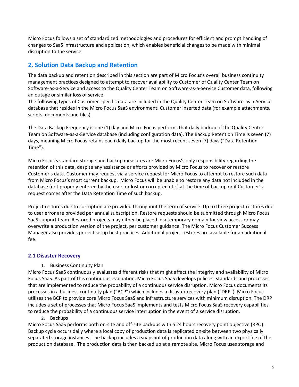Micro Focus follows a set of standardized methodologies and procedures for efficient and prompt handling of changes to SaaS infrastructure and application, which enables beneficial changes to be made with minimal disruption to the service.

# <span id="page-4-0"></span>**2. Solution Data Backup and Retention**

The data backup and retention described in this section are part of Micro Focus's overall business continuity management practices designed to attempt to recover availability to Customer of Quality Center Team on Software-as-a-Service and access to the Quality Center Team on Software-as-a-Service Customer data, following an outage or similar loss of service.

The following types of Customer-specific data are included in the Quality Center Team on Software-as-a-Service database that resides in the Micro Focus SaaS environment: Customer inserted data (for example attachments, scripts, documents and files).

The Data Backup Frequency is one (1) day and Micro Focus performs that daily backup of the Quality Center Team on Software-as-a-Service database (including configuration data). The Backup Retention Time is seven (7) days, meaning Micro Focus retains each daily backup for the most recent seven (7) days ("Data Retention Time").

Micro Focus's standard storage and backup measures are Micro Focus's only responsibility regarding the retention of this data, despite any assistance or efforts provided by Micro Focus to recover or restore Customer's data. Customer may request via a service request for Micro Focus to attempt to restore such data from Micro Focus's most current backup. Micro Focus will be unable to restore any data not included in the database (not properly entered by the user, or lost or corrupted etc.) at the time of backup or if Customer´s request comes after the Data Retention Time of such backup.

Project restores due to corruption are provided throughout the term of service. Up to three project restores due to user error are provided per annual subscription. Restore requests should be submitted through Micro Focus SaaS support team. Restored projects may either be placed in a temporary domain for view access or may overwrite a production version of the project, per customer guidance. The Micro Focus Customer Success Manager also provides project setup best practices. Additional project restores are available for an additional fee.

# **2.1 Disaster Recovery**

1. Business Continuity Plan

Micro Focus SaaS continuously evaluates different risks that might affect the integrity and availability of Micro Focus SaaS. As part of this continuous evaluation, Micro Focus SaaS develops policies, standards and processes that are implemented to reduce the probability of a continuous service disruption. Micro Focus documents its processes in a business continuity plan ("BCP") which includes a disaster recovery plan ("DRP"). Micro Focus utilizes the BCP to provide core Micro Focus SaaS and infrastructure services with minimum disruption. The DRP includes a set of processes that Micro Focus SaaS implements and tests Micro Focus SaaS recovery capabilities to reduce the probability of a continuous service interruption in the event of a service disruption.

#### 2. Backups

Micro Focus SaaS performs both on-site and off-site backups with a 24 hours recovery point objective (RPO). Backup cycle occurs daily where a local copy of production data is replicated on-site between two physically separated storage instances. The backup includes a snapshot of production data along with an export file of the production database. The production data is then backed up at a remote site. Micro Focus uses storage and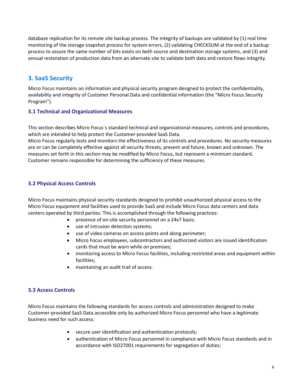database replication for its remote site backup process. The integrity of backups are validated by (1) real time monitoring of the storage snapshot process for system errors, (2) validating CHECKSUM at the end of a backup process to assure the same number of bits exists on both source and destination storage systems, and (3) and annual restoration of production data from an alternate site to validate both data and restore flows integrity.

# <span id="page-5-0"></span>**3. SaaS Security**

Micro Focus maintains an information and physical security program designed to protect the confidentiality, availability and integrity of Customer Personal Data and confidential information (the "Micro Focus Security Program").

# **3.1 Technical and Organizational Measures**

This section describes Micro Focus´s standard technical and organizational measures, controls and procedures, which are intended to help protect the Customer-provided SaaS Data.

Micro Focus regularly tests and monitors the effectiveness of its controls and procedures. No security measures are or can be completely effective against all security threats, present and future, known and unknown. The measures set forth in this section may be modified by Micro Focus, but represent a minimum standard. Customer remains responsible for determining the sufficiency of these measures.

# **3.2 Physical Access Controls**

Micro Focus maintains physical security standards designed to prohibit unauthorized physical access to the Micro Focus equipment and facilities used to provide SaaS and include Micro Focus data centers and data centers operated by third parties. This is accomplished through the following practices:

- presence of on-site security personnel on a 24x7 basis;
- use of intrusion detection systems;
- use of video cameras on access points and along perimeter;
- Micro Focus employees, subcontractors and authorized visitors are issued identification cards that must be worn while on premises;
- monitoring access to Micro Focus facilities, including restricted areas and equipment within facilities;
- maintaining an audit trail of access.

# **3.3 Access Controls**

Micro Focus maintains the following standards for access controls and administration designed to make Customer-provided SaaS Data accessible only by authorized Micro Focus personnel who have a legitimate business need for such access:

- secure user identification and authentication protocols;
- authentication of Micro Focus personnel in compliance with Micro Focus standards and in accordance with ISO27001 requirements for segregation of duties;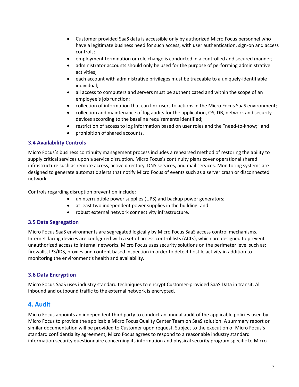- Customer provided SaaS data is accessible only by authorized Micro Focus personnel who have a legitimate business need for such access, with user authentication, sign-on and access controls;
- employment termination or role change is conducted in a controlled and secured manner;
- administrator accounts should only be used for the purpose of performing administrative activities;
- each account with administrative privileges must be traceable to a uniquely-identifiable individual;
- all access to computers and servers must be authenticated and within the scope of an employee's job function;
- collection of information that can link users to actions in the Micro Focus SaaS environment;
- collection and maintenance of log audits for the application, OS, DB, network and security devices according to the baseline requirements identified;
- restriction of access to log information based on user roles and the "need-to-know;" and
- prohibition of shared accounts.

#### **3.4 Availability Controls**

Micro Focus´s business continuity management process includes a rehearsed method of restoring the ability to supply critical services upon a service disruption. Micro Focus's continuity plans cover operational shared infrastructure such as remote access, active directory, DNS services, and mail services. Monitoring systems are designed to generate automatic alerts that notify Micro Focus of events such as a server crash or disconnected network.

Controls regarding disruption prevention include:

- uninterruptible power supplies (UPS) and backup power generators;
- at least two independent power supplies in the building; and
- robust external network connectivity infrastructure.

#### **3.5 Data Segregation**

Micro Focus SaaS environments are segregated logically by Micro Focus SaaS access control mechanisms. Internet-facing devices are configured with a set of access control lists (ACLs), which are designed to prevent unauthorized access to internal networks. Micro Focus uses security solutions on the perimeter level such as: firewalls, IPS/IDS, proxies and content based inspection in order to detect hostile activity in addition to monitoring the environment's health and availability.

# **3.6 Data Encryption**

Micro Focus SaaS uses industry standard techniques to encrypt Customer-provided SaaS Data in transit. All inbound and outbound traffic to the external network is encrypted.

# <span id="page-6-0"></span>**4. Audit**

Micro Focus appoints an independent third party to conduct an annual audit of the applicable policies used by Micro Focus to provide the applicable Micro Focus Quality Center Team on SaaS solution. A summary report or similar documentation will be provided to Customer upon request. Subject to the execution of Micro Focus's standard confidentiality agreement, Micro Focus agrees to respond to a reasonable industry standard information security questionnaire concerning its information and physical security program specific to Micro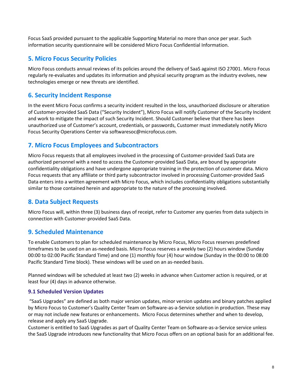Focus SaaS provided pursuant to the applicable Supporting Material no more than once per year. Such information security questionnaire will be considered Micro Focus Confidential Information.

# <span id="page-7-0"></span>**5. Micro Focus Security Policies**

Micro Focus conducts annual reviews of its policies around the delivery of SaaS against ISO 27001. Micro Focus regularly re-evaluates and updates its information and physical security program as the industry evolves, new technologies emerge or new threats are identified.

# <span id="page-7-1"></span>**6. Security Incident Response**

In the event Micro Focus confirms a security incident resulted in the loss, unauthorized disclosure or alteration of Customer-provided SaaS Data ("Security Incident"), Micro Focus will notify Customer of the Security Incident and work to mitigate the impact of such Security Incident. Should Customer believe that there has been unauthorized use of Customer's account, credentials, or passwords, Customer must immediately notify Micro Focus Security Operations Center via softwaresoc@microfocus.com.

# <span id="page-7-2"></span>**7. Micro Focus Employees and Subcontractors**

Micro Focus requests that all employees involved in the processing of Customer-provided SaaS Data are authorized personnel with a need to access the Customer-provided SaaS Data, are bound by appropriate confidentiality obligations and have undergone appropriate training in the protection of customer data. Micro Focus requests that any affiliate or third party subcontractor involved in processing Customer-provided SaaS Data enters into a written agreement with Micro Focus, which includes confidentiality obligations substantially similar to those contained herein and appropriate to the nature of the processing involved.

# <span id="page-7-3"></span>**8. Data Subject Requests**

Micro Focus will, within three (3) business days of receipt, refer to Customer any queries from data subjects in connection with Customer-provided SaaS Data.

# <span id="page-7-4"></span>**9. Scheduled Maintenance**

To enable Customers to plan for scheduled maintenance by Micro Focus, Micro Focus reserves predefined timeframes to be used on an as-needed basis. Micro Focus reserves a weekly two (2) hours window (Sunday 00:00 to 02:00 Pacific Standard Time) and one (1) monthly four (4) hour window (Sunday in the 00:00 to 08:00 Pacific Standard Time block). These windows will be used on an as-needed basis.

Planned windows will be scheduled at least two (2) weeks in advance when Customer action is required, or at least four (4) days in advance otherwise.

#### **9.1 Scheduled Version Updates**

"SaaS Upgrades" are defined as both major version updates, minor version updates and binary patches applied by Micro Focus to Customer's Quality Center Team on Software-as-a-Service solution in production. These may or may not include new features or enhancements. Micro Focus determines whether and when to develop, release and apply any SaaS Upgrade.

Customer is entitled to SaaS Upgrades as part of Quality Center Team on Software-as-a-Service service unless the SaaS Upgrade introduces new functionality that Micro Focus offers on an optional basis for an additional fee.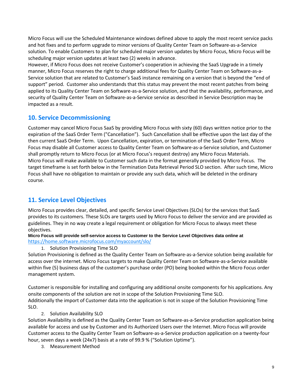Micro Focus will use the Scheduled Maintenance windows defined above to apply the most recent service packs and hot fixes and to perform upgrade to minor versions of Quality Center Team on Software-as-a-Service solution. To enable Customers to plan for scheduled major version updates by Micro Focus, Micro Focus will be scheduling major version updates at least two (2) weeks in advance.

However, if Micro Focus does not receive Customer's cooperation in achieving the SaaS Upgrade in a timely manner, Micro Focus reserves the right to charge additional fees for Quality Center Team on Software-as-a-Service solution that are related to Customer's SaaS instance remaining on a version that is beyond the "end of support" period. Customer also understands that this status may prevent the most recent patches from being applied to its Quality Center Team on Software-as-a-Service solution, and that the availability, performance, and security of Quality Center Team on Software-as-a-Service service as described in Service Description may be impacted as a result.

# <span id="page-8-0"></span>**10. Service Decommissioning**

Customer may cancel Micro Focus SaaS by providing Micro Focus with sixty (60) days written notice prior to the expiration of the SaaS Order Term ("Cancellation"). Such Cancellation shall be effective upon the last day of the then current SaaS Order Term. Upon Cancellation, expiration, or termination of the SaaS Order Term, Micro Focus may disable all Customer access to Quality Center Team on Software-as-a-Service solution, and Customer shall promptly return to Micro Focus (or at Micro Focus's request destroy) any Micro Focus Materials. Micro Focus will make available to Customer such data in the format generally provided by Micro Focus. The target timeframe is set forth below in the Termination Data Retrieval Period SLO section. After such time, Micro Focus shall have no obligation to maintain or provide any such data, which will be deleted in the ordinary course.

# <span id="page-8-1"></span>**11. Service Level Objectives**

Micro Focus provides clear, detailed, and specific Service Level Objectives (SLOs) for the services that SaaS provides to its customers. These SLOs are targets used by Micro Focus to deliver the service and are provided as guidelines. They in no way create a legal requirement or obligation for Micro Focus to always meet these objectives.

**Micro Focus will provide self-service access to Customer to the Service Level Objectives data online at**  <https://home.software.microfocus.com/myaccount/slo/>

#### 1. Solution Provisioning Time SLO

Solution Provisioning is defined as the Quality Center Team on Software-as-a-Service solution being available for access over the internet. Micro Focus targets to make Quality Center Team on Software-as-a-Service available within five (5) business days of the customer's purchase order (PO) being booked within the Micro Focus order management system.

Customer is responsible for installing and configuring any additional onsite components for his applications. Any onsite components of the solution are not in scope of the Solution Provisioning Time SLO. Additionally the import of Customer data into the application is not in scope of the Solution Provisioning Time SLO.

2. Solution Availability SLO

Solution Availability is defined as the Quality Center Team on Software-as-a-Service production application being available for access and use by Customer and its Authorized Users over the Internet. Micro Focus will provide Customer access to the Quality Center Team on Software-as-a-Service production application on a twenty-four hour, seven days a week (24x7) basis at a rate of 99.9 % ("Solution Uptime").

3. Measurement Method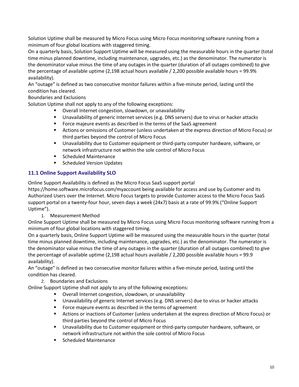Solution Uptime shall be measured by Micro Focus using Micro Focus monitoring software running from a minimum of four global locations with staggered timing.

On a quarterly basis, Solution Support Uptime will be measured using the measurable hours in the quarter (total time minus planned downtime, including maintenance, upgrades, etc.) as the denominator. The numerator is the denominator value minus the time of any outages in the quarter (duration of all outages combined) to give the percentage of available uptime (2,198 actual hours available / 2,200 possible available hours = 99.9% availability).

An "outage" is defined as two consecutive monitor failures within a five-minute period, lasting until the condition has cleared.

Boundaries and Exclusions

Solution Uptime shall not apply to any of the following exceptions:

- Overall Internet congestion, slowdown, or unavailability
- Unavailability of generic Internet services (e.g. DNS servers) due to virus or hacker attacks
- **FIC Force majeure events as described in the terms of the SaaS agreement**
- Actions or omissions of Customer (unless undertaken at the express direction of Micro Focus) or third parties beyond the control of Micro Focus
- Unavailability due to Customer equipment or third-party computer hardware, software, or network infrastructure not within the sole control of Micro Focus
- Scheduled Maintenance
- **Scheduled Version Updates**

# **11.1 Online Support Availability SLO**

Online Support Availability is defined as the Micro Focus SaaS support portal

https://home.software.microfocus.com/myaccount being available for access and use by Customer and its Authorized Users over the Internet. Micro Focus targets to provide Customer access to the Micro Focus SaaS support portal on a twenty-four hour, seven days a week (24x7) basis at a rate of 99.9% ("Online Support Uptime").

1. Measurement Method

Online Support Uptime shall be measured by Micro Focus using Micro Focus monitoring software running from a minimum of four global locations with staggered timing.

On a quarterly basis, Online Support Uptime will be measured using the measurable hours in the quarter (total time minus planned downtime, including maintenance, upgrades, etc.) as the denominator. The numerator is the denominator value minus the time of any outages in the quarter (duration of all outages combined) to give the percentage of available uptime (2,198 actual hours available / 2,200 possible available hours = 99.9 availability).

An "outage" is defined as two consecutive monitor failures within a five-minute period, lasting until the condition has cleared.

2. Boundaries and Exclusions

Online Support Uptime shall not apply to any of the following exceptions:

- Overall Internet congestion, slowdown, or unavailability
- Unavailability of generic Internet services (e.g. DNS servers) due to virus or hacker attacks
- **Force majeure events as described in the terms of agreement**
- Actions or inactions of Customer (unless undertaken at the express direction of Micro Focus) or third parties beyond the control of Micro Focus
- Unavailability due to Customer equipment or third-party computer hardware, software, or network infrastructure not within the sole control of Micro Focus
- Scheduled Maintenance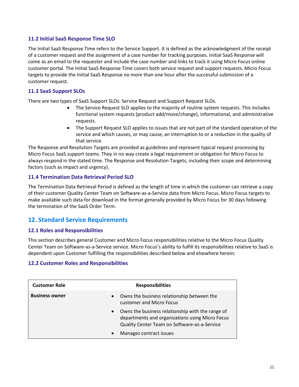# **11.2 Initial SaaS Response Time SLO**

The Initial SaaS Response Time refers to the Service Support. It is defined as the acknowledgment of the receipt of a customer request and the assignment of a case number for tracking purposes. Initial SaaS Response will come as an email to the requester and include the case number and links to track it using Micro Focus online customer portal. The Initial SaaS Response Time covers both service request and support requests. Micro Focus targets to provide the Initial SaaS Response no more than one hour after the successful submission of a customer request.

# **11.3 SaaS Support SLOs**

There are two types of SaaS Support SLOs: Service Request and Support Request SLOs.

- The Service Request SLO applies to the majority of routine system requests. This includes functional system requests (product add/move/change), informational, and administrative requests.
- The Support Request SLO applies to issues that are not part of the standard operation of the service and which causes, or may cause, an interruption to or a reduction in the quality of that service.

The Response and Resolution Targets are provided as guidelines and represent typical request processing by Micro Focus SaaS support teams. They in no way create a legal requirement or obligation for Micro Focus to always respond in the stated time. The Response and Resolution Targets, including their scope and determining factors (such as impact and urgency).

# **11.4 Termination Data Retrieval Period SLO**

The Termination Data Retrieval Period is defined as the length of time in which the customer can retrieve a copy of their customer Quality Center Team on Software-as-a-Service data from Micro Focus. Micro Focus targets to make available such data for download in the format generally provided by Micro Focus for 30 days following the termination of the SaaS Order Term.

# <span id="page-10-0"></span>**12. Standard Service Requirements**

#### **12.1 Roles and Responsibilities**

This section describes general Customer and Micro Focus responsibilities relative to the Micro Focus Quality Center Team on Software-as-a-Service service. Micro Focus's ability to fulfill its responsibilities relative to SaaS is dependent upon Customer fulfilling the responsibilities described below and elsewhere herein:

#### **12.2 Customer Roles and Responsibilities**

| <b>Customer Role</b>  | <b>Responsibilities</b>                                                                                                                                          |
|-----------------------|------------------------------------------------------------------------------------------------------------------------------------------------------------------|
| <b>Business owner</b> | Owns the business relationship between the<br>$\bullet$<br>customer and Micro Focus                                                                              |
|                       | Owns the business relationship with the range of<br>$\bullet$<br>departments and organizations using Micro Focus<br>Quality Center Team on Software-as-a-Service |
|                       | Manages contract issues<br>$\bullet$                                                                                                                             |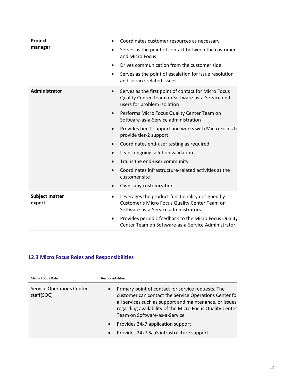| Project                         | Coordinates customer resources as necessary                                                                                                          |
|---------------------------------|------------------------------------------------------------------------------------------------------------------------------------------------------|
| manager                         | Serves as the point of contact between the customer<br>and Micro Focus                                                                               |
|                                 | Drives communication from the customer side                                                                                                          |
|                                 | Serves as the point of escalation for issue resolution<br>$\bullet$<br>and service-related issues                                                    |
| Administrator                   | Serves as the first point of contact for Micro Focus<br>$\bullet$<br>Quality Center Team on Software-as-a-Service end<br>users for problem isolation |
|                                 | Performs Micro Focus Quality Center Team on<br>$\bullet$<br>Software-as-a-Service administration                                                     |
|                                 | Provides tier-1 support and works with Micro Focus to<br>$\bullet$<br>provide tier-2 support                                                         |
|                                 | Coordinates end-user testing as required                                                                                                             |
|                                 | Leads ongoing solution validation<br>$\bullet$                                                                                                       |
|                                 | Trains the end-user community                                                                                                                        |
|                                 | Coordinates infrastructure-related activities at the<br>customer site                                                                                |
|                                 | Owns any customization                                                                                                                               |
| <b>Subject matter</b><br>expert | Leverages the product functionality designed by<br>Customer's Micro Focus Quality Center Team on<br>Software-as-a-Service administrators.            |
|                                 | Provides periodic feedback to the Micro Focus Quality<br>٠<br>Center Team on Software-as-a-Service Administrator                                     |

# **12.3 Micro Focus Roles and Responsibilities**

| Micro Focus Role                               | Responsibilities                                                                                                                                                                                                                                                    |  |
|------------------------------------------------|---------------------------------------------------------------------------------------------------------------------------------------------------------------------------------------------------------------------------------------------------------------------|--|
| <b>Service Operations Center</b><br>staff(SOC) | Primary point of contact for service requests. The<br>customer can contact the Service Operations Center fo<br>all services such as support and maintenance, or issues<br>regarding availability of the Micro Focus Quality Center<br>Team on Software-as-a-Service |  |
|                                                | Provides 24x7 application support<br>$\bullet$<br>Provides 24x7 SaaS infrastructure support<br>$\bullet$                                                                                                                                                            |  |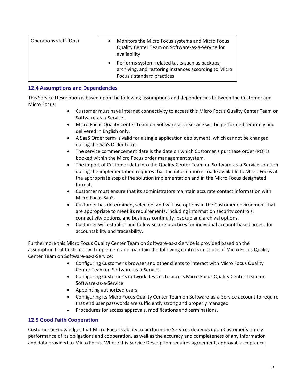| Operations staff (Ops) | Monitors the Micro Focus systems and Micro Focus<br>Quality Center Team on Software-as-a-Service for<br>availability                  |
|------------------------|---------------------------------------------------------------------------------------------------------------------------------------|
|                        | Performs system-related tasks such as backups,<br>archiving, and restoring instances according to Micro<br>Focus's standard practices |

#### **12.4 Assumptions and Dependencies**

This Service Description is based upon the following assumptions and dependencies between the Customer and Micro Focus:

- Customer must have internet connectivity to access this Micro Focus Quality Center Team on Software-as-a-Service.
- Micro Focus Quality Center Team on Software-as-a-Service will be performed remotely and delivered in English only.
- A SaaS Order term is valid for a single application deployment, which cannot be changed during the SaaS Order term.
- The service commencement date is the date on which Customer's purchase order (PO) is booked within the Micro Focus order management system.
- The import of Customer data into the Quality Center Team on Software-as-a-Service solution during the implementation requires that the information is made available to Micro Focus at the appropriate step of the solution implementation and in the Micro Focus designated format.
- Customer must ensure that its administrators maintain accurate contact information with Micro Focus SaaS.
- Customer has determined, selected, and will use options in the Customer environment that are appropriate to meet its requirements, including information security controls, connectivity options, and business continuity, backup and archival options.
- Customer will establish and follow secure practices for individual account-based access for accountability and traceability.

Furthermore this Micro Focus Quality Center Team on Software-as-a-Service is provided based on the assumption that Customer will implement and maintain the following controls in its use of Micro Focus Quality Center Team on Software-as-a-Service:

- Configuring Customer's browser and other clients to interact with Micro Focus Quality Center Team on Software-as-a-Service
- Configuring Customer's network devices to access Micro Focus Quality Center Team on Software-as-a-Service
- Appointing authorized users
- Configuring its Micro Focus Quality Center Team on Software-as-a-Service account to require that end user passwords are sufficiently strong and properly managed
- Procedures for access approvals, modifications and terminations.

# **12.5 Good Faith Cooperation**

Customer acknowledges that Micro Focus's ability to perform the Services depends upon Customer's timely performance of its obligations and cooperation, as well as the accuracy and completeness of any information and data provided to Micro Focus. Where this Service Description requires agreement, approval, acceptance,